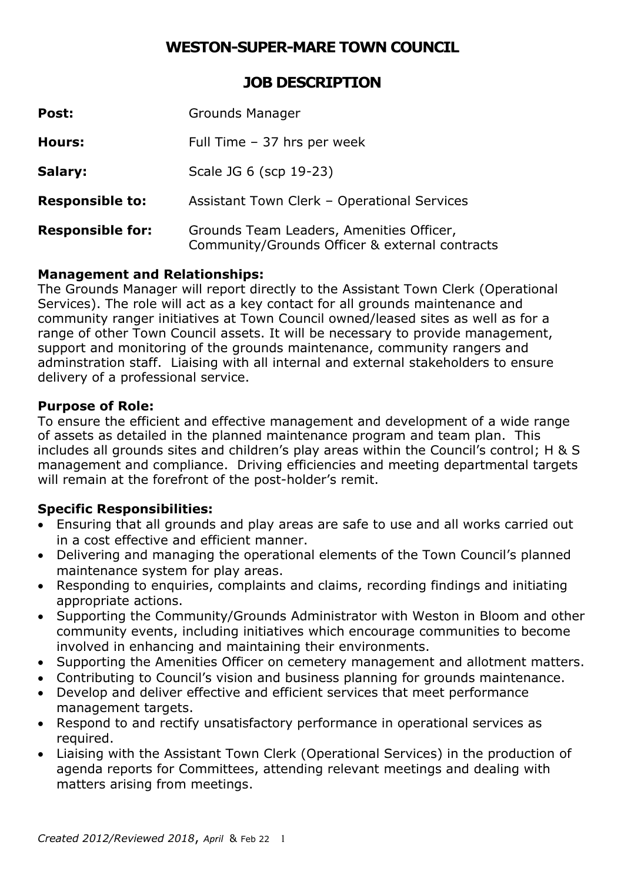# **WESTON-SUPER-MARE TOWN COUNCIL**

**JOB DESCRIPTION** 

| Post:                   | <b>Grounds Manager</b>                                                                     |
|-------------------------|--------------------------------------------------------------------------------------------|
| <b>Hours:</b>           | Full Time - 37 hrs per week                                                                |
| Salary:                 | Scale JG 6 (scp 19-23)                                                                     |
| <b>Responsible to:</b>  | Assistant Town Clerk - Operational Services                                                |
| <b>Responsible for:</b> | Grounds Team Leaders, Amenities Officer,<br>Community/Grounds Officer & external contracts |

#### **Management and Relationships:**

 adminstration staff. Liaising with all internal and external stakeholders to ensure The Grounds Manager will report directly to the Assistant Town Clerk (Operational Services). The role will act as a key contact for all grounds maintenance and community ranger initiatives at Town Council owned/leased sites as well as for a range of other Town Council assets. It will be necessary to provide management, support and monitoring of the grounds maintenance, community rangers and delivery of a professional service.

#### **Purpose of Role:**

 of assets as detailed in the planned maintenance program and team plan. This management and compliance. Driving efficiencies and meeting departmental targets To ensure the efficient and effective management and development of a wide range includes all grounds sites and children's play areas within the Council's control; H & S will remain at the forefront of the post-holder's remit.

## **Specific Responsibilities:**

- Ensuring that all grounds and play areas are safe to use and all works carried out in a cost effective and efficient manner.
- Delivering and managing the operational elements of the Town Council's planned maintenance system for play areas.
- Responding to enquiries, complaints and claims, recording findings and initiating appropriate actions.
- Supporting the Community/Grounds Administrator with Weston in Bloom and other community events, including initiatives which encourage communities to become involved in enhancing and maintaining their environments.
- Supporting the Amenities Officer on cemetery management and allotment matters.
- Contributing to Council's vision and business planning for grounds maintenance.
- Develop and deliver effective and efficient services that meet performance management targets.
- Respond to and rectify unsatisfactory performance in operational services as required.
- Liaising with the Assistant Town Clerk (Operational Services) in the production of agenda reports for Committees, attending relevant meetings and dealing with matters arising from meetings.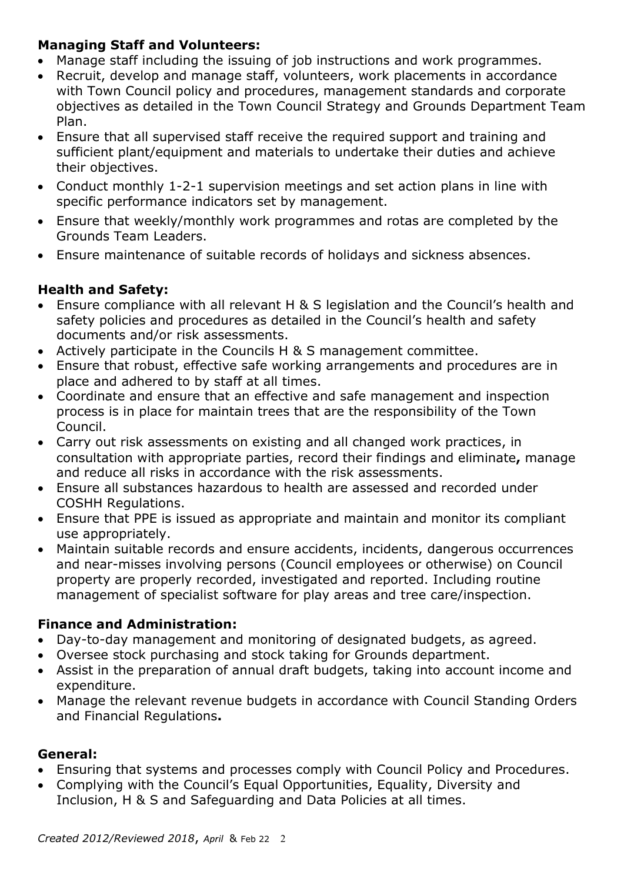## **Managing Staff and Volunteers:**

- Manage staff including the issuing of job instructions and work programmes.
- objectives as detailed in the Town Council Strategy and Grounds Department Team • Recruit, develop and manage staff, volunteers, work placements in accordance with Town Council policy and procedures, management standards and corporate Plan.
- Ensure that all supervised staff receive the required support and training and sufficient plant/equipment and materials to undertake their duties and achieve their objectives.
- Conduct monthly 1-2-1 supervision meetings and set action plans in line with specific performance indicators set by management.
- Ensure that weekly/monthly work programmes and rotas are completed by the Grounds Team Leaders.
- Ensure maintenance of suitable records of holidays and sickness absences.

# **Health and Safety:**

- Ensure compliance with all relevant H & S legislation and the Council's health and safety policies and procedures as detailed in the Council's health and safety documents and/or risk assessments.
- Actively participate in the Councils H & S management committee.
- Ensure that robust, effective safe working arrangements and procedures are in place and adhered to by staff at all times.
- Coordinate and ensure that an effective and safe management and inspection process is in place for maintain trees that are the responsibility of the Town Council.
- and reduce all risks in accordance with the risk assessments. Carry out risk assessments on existing and all changed work practices, in consultation with appropriate parties, record their findings and eliminate**,** manage
- Ensure all substances hazardous to health are assessed and recorded under COSHH Regulations.
- Ensure that PPE is issued as appropriate and maintain and monitor its compliant use appropriately.
- Maintain suitable records and ensure accidents, incidents, dangerous occurrences and near-misses involving persons (Council employees or otherwise) on Council property are properly recorded, investigated and reported. Including routine management of specialist software for play areas and tree care/inspection.

## **Finance and Administration:**

- Day-to-day management and monitoring of designated budgets, as agreed.
- Oversee stock purchasing and stock taking for Grounds department.
- Assist in the preparation of annual draft budgets, taking into account income and expenditure.
- Manage the relevant revenue budgets in accordance with Council Standing Orders and Financial Regulations**.**

## **General:**

- Ensuring that systems and processes comply with Council Policy and Procedures.
- Complying with the Council's Equal Opportunities, Equality, Diversity and Inclusion, H & S and Safeguarding and Data Policies at all times.